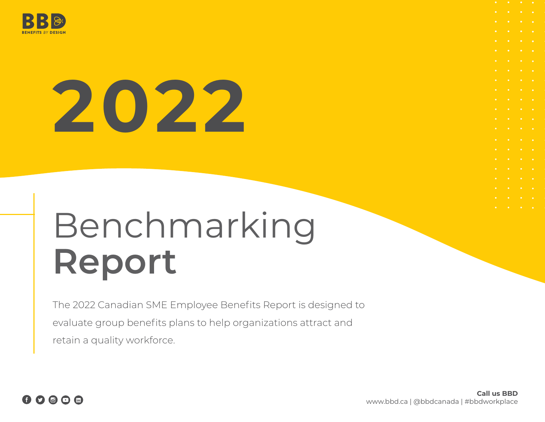

# **2022**

# Benchmarking **Report**

The 2022 Canadian SME Employee Benefits Report is designed to evaluate group benefits plans to help organizations attract and retain a quality workforce.



**Call us BBD** www.bbd.ca | @bbdcanada | #bbdworkplace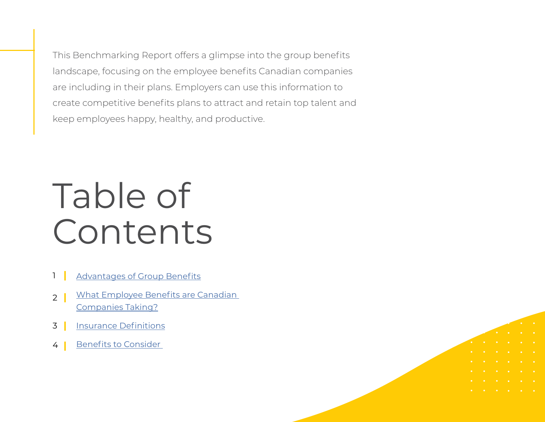This Benchmarking Report offers a glimpse into the group benefits landscape, focusing on the employee benefits Canadian companies are including in their plans. Employers can use this information to create competitive benefits plans to attract and retain top talent and keep employees happy, healthy, and productive.

# Table of Contents

- [Advantages of Group Benefits](#page-2-0) 1
- [What Employee Benefits are Canadian](#page-3-0)  [Companies Taking?](#page-3-0) 2
- [Insurance Definitions](#page-4-0) 3
- [Benefits to Consider](#page-5-0)  4

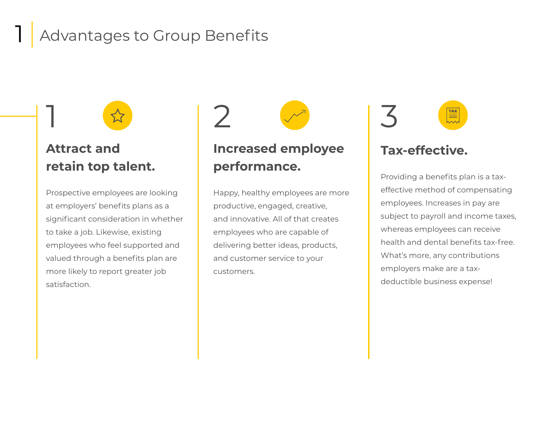## Advantages to Group Benefits



## **Attract and retain top talent.**

<span id="page-2-0"></span>1

Prospective employees are looking at employers' benefits plans as a significant consideration in whether to take a job. Likewise, existing employees who feel supported and valued through a benefits plan are more likely to report greater job satisfaction.

## 1 2 3

## **Increased employee performance.**

Happy, healthy employees are more productive, engaged, creative, and innovative. All of that creates employees who are capable of delivering better ideas, products, and customer service to your customers.

 $\frac{1}{1}$ 

#### **Tax-effective.**

Providing a benefits plan is a taxeffective method of compensating employees. Increases in pay are subject to payroll and income taxes, whereas employees can receive health and dental benefits tax-free. What's more, any contributions employers make are a taxdeductible business expense!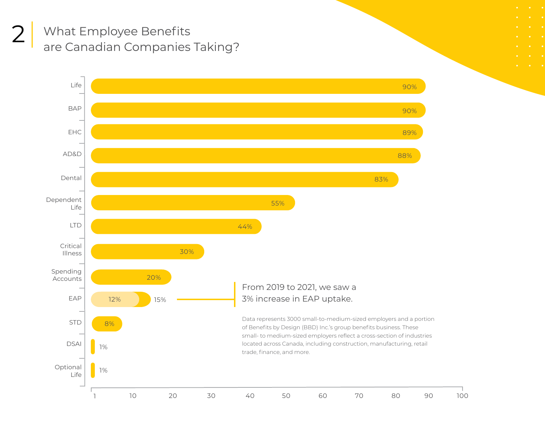<span id="page-3-0"></span>What Employee Benefits are Canadian Companies Taking? 2

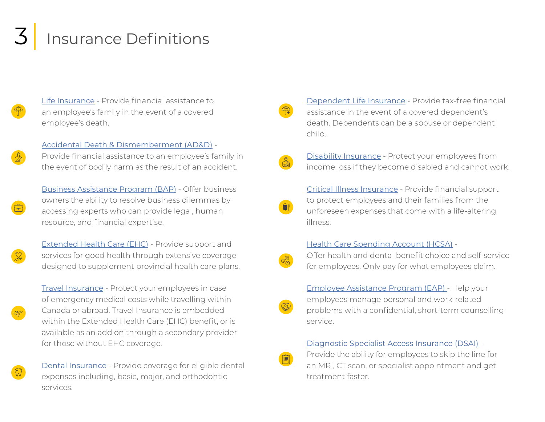## <span id="page-4-0"></span>Insurance Definitions

- [Life Insurance](https://www.bbd.ca/blog/life-insurance/) Provide financial assistance to an employee's family in the event of a covered employee's death.
	- [Accidental Death & Dismemberment \(AD&D\)](https://www.bbd.ca/blog/accidental-death-dismemberment/) -

Provide financial assistance to an employee's family in the event of bodily harm as the result of an accident.

[Business Assistance Program \(BAP\)](https://www.bbd.ca/blog/business-assistance-program-bap/) - Offer business owners the ability to resolve business dilemmas by accessing experts who can provide legal, human resource, and financial expertise.

[Extended Health Care \(EHC\)](https://www.bbd.ca/blog/group-health-insurance-ehc/) - Provide support and services for good health through extensive coverage designed to supplement provincial health care plans.

[Travel Insurance](https://www.bbd.ca/blog/group-travel-insurance/) - Protect your employees in case of emergency medical costs while travelling within Canada or abroad. Travel Insurance is embedded within the Extended Health Care (EHC) benefit, or is available as an add on through a secondary provider for those without EHC coverage.



[Dental Insurance](https://www.bbd.ca/blog/group-dental-insurance/) - Provide coverage for eligible dental expenses including, basic, major, and orthodontic services.

[Dependent Life Insurance](https://www.bbd.ca/blog/life-insurance/) - Provide tax-free financial assistance in the event of a covered dependent's death. Dependents can be a spouse or dependent child.

[Disability Insurance](https://www.bbd.ca/blog/disability-insurance-work/
) - Protect your employees from income loss if they become disabled and cannot work.

[Critical Illness Insurance](https://www.bbd.ca/blog/critical-illness-insurance/) - Provide financial support to protect employees and their families from the unforeseen expenses that come with a life-altering illness.

#### [Health Care Spending Account \(HCSA\)](https://www.bbd.ca/blog/health-care-spending-account-hcsa/) -

Offer health and dental benefit choice and self-service for employees. Only pay for what employees claim.



[Employee Assistance Program \(EAP\)](https://www.bbd.ca/blog/employee-assistance-plan-eap/) - Help your employees manage personal and work-related problems with a confidential, short-term counselling service.

[Diagnostic Specialist Access Insurance \(DSAI\)](https://www.bbd.ca/blog/diagnostic-specialist-access-insurance-dsai/) -

Provide the ability for employees to skip the line for an MRI, CT scan, or specialist appointment and get treatment faster.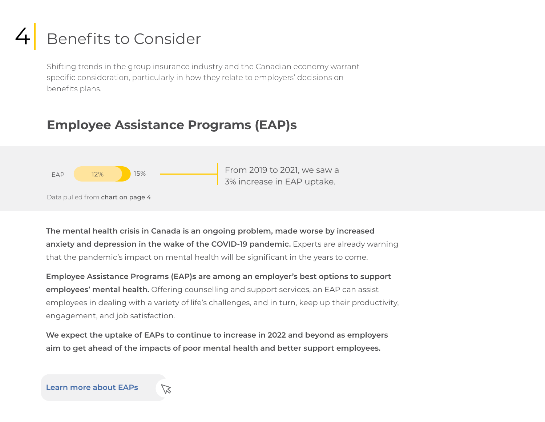## <span id="page-5-0"></span>4 Benefits to Consider

Shifting trends in the group insurance industry and the Canadian economy warrant specific consideration, particularly in how they relate to employers' decisions on benefits plans.

### **Employee Assistance Programs (EAP)s**



Data pulled from chart on page 4

**The mental health crisis in Canada is an ongoing problem, made worse by increased anxiety and depression in the wake of the COVID-19 pandemic.** Experts are already warning that the pandemic's impact on mental health will be significant in the years to come.

**Employee Assistance Programs (EAP)s are among an employer's best options to support employees' mental health.** Offering counselling and support services, an EAP can assist employees in dealing with a variety of life's challenges, and in turn, keep up their productivity, engagement, and job satisfaction.

**We expect the uptake of EAPs to continue to increase in 2022 and beyond as employers aim to get ahead of the impacts of poor mental health and better support employees.**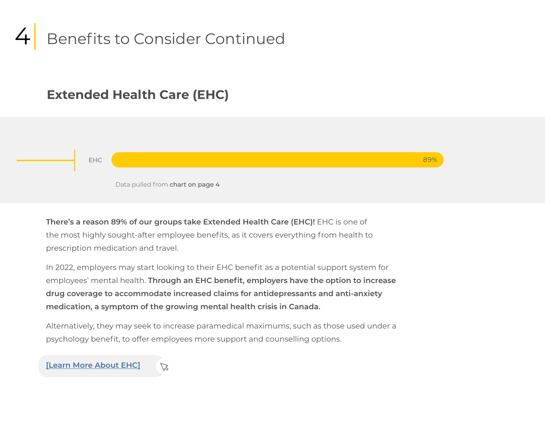

#### **Extended Health Care (EHC)**

EHC 89%

Data pulled from chart on page 4

**There's a reason 89% of our groups take Extended Health Care (EHC)!** EHC is one of the most highly sought-after employee benefits, as it covers everything from health to prescription medication and travel.

In 2022, employers may start looking to their EHC benefit as a potential support system for employees' mental health. **Through an EHC benefit, employers have the option to increase drug coverage to accommodate increased claims for antidepressants and anti-anxiety medication, a symptom of the growing mental health crisis in Canada.**

Alternatively, they may seek to increase paramedical maximums, such as those used under a psychology benefit, to offer employees more support and counselling options.

**[\[Learn More About EHC\]](https://www.bbd.ca/blog/group-health-insurance-ehc/)**

 $\varnothing$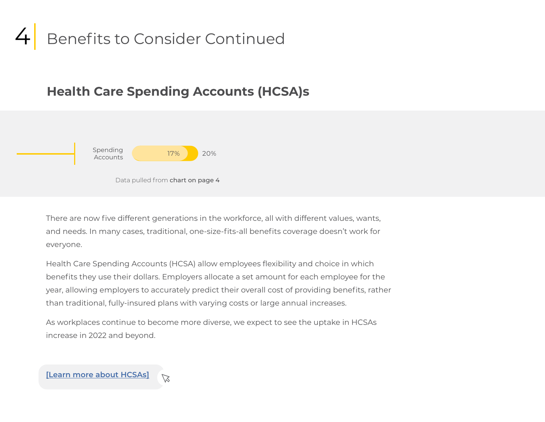## Benefits to Consider Continued

#### **Health Care Spending Accounts (HCSA)s**



Data pulled from chart on page 4

There are now five different generations in the workforce, all with different values, wants, and needs. In many cases, traditional, one-size-fits-all benefits coverage doesn't work for everyone.

Health Care Spending Accounts (HCSA) allow employees flexibility and choice in which benefits they use their dollars. Employers allocate a set amount for each employee for the year, allowing employers to accurately predict their overall cost of providing benefits, rather than traditional, fully-insured plans with varying costs or large annual increases.

As workplaces continue to become more diverse, we expect to see the uptake in HCSAs increase in 2022 and beyond.